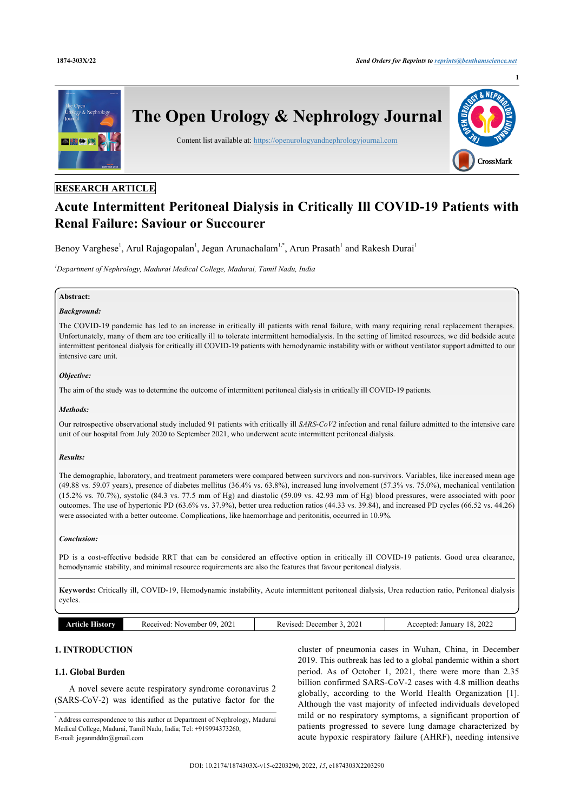**1**



# **RESEARCH ARTICLE**

# **Acute Intermittent Peritoneal Dialysis in Critically Ill COVID-19 Patients with Renal Failure: Saviour or Succourer**

Benoy Varghese<sup>[1](#page-0-0)</sup>, Arul Rajagopalan<sup>1</sup>, Jegan Arunachalam<sup>1,[\\*](#page-0-0)</sup>, Arun Prasath<sup>1</sup> and Rakesh Durai<sup>1</sup>

<span id="page-0-0"></span>*<sup>1</sup>Department of Nephrology, Madurai Medical College, Madurai, Tamil Nadu, India*

# **Abstract:**

# *Background:*

The COVID-19 pandemic has led to an increase in critically ill patients with renal failure, with many requiring renal replacement therapies. Unfortunately, many of them are too critically ill to tolerate intermittent hemodialysis. In the setting of limited resources, we did bedside acute intermittent peritoneal dialysis for critically ill COVID-19 patients with hemodynamic instability with or without ventilator support admitted to our intensive care unit.

# *Objective:*

The aim of the study was to determine the outcome of intermittent peritoneal dialysis in critically ill COVID-19 patients.

### *Methods:*

Our retrospective observational study included 91 patients with critically ill *SARS*-*CoV2* infection and renal failure admitted to the intensive care unit of our hospital from July 2020 to September 2021, who underwent acute intermittent peritoneal dialysis.

# *Results:*

The demographic, laboratory, and treatment parameters were compared between survivors and non-survivors. Variables, like increased mean age (49.88 vs. 59.07 years), presence of diabetes mellitus (36.4% vs. 63.8%), increased lung involvement (57.3% vs. 75.0%), mechanical ventilation (15.2% vs. 70.7%), systolic (84.3 vs. 77.5 mm of Hg) and diastolic (59.09 vs. 42.93 mm of Hg) blood pressures, were associated with poor outcomes. The use of hypertonic PD (63.6% vs. 37.9%), better urea reduction ratios (44.33 vs. 39.84), and increased PD cycles (66.52 vs. 44.26) were associated with a better outcome. Complications, like haemorrhage and peritonitis, occurred in 10.9%.

#### *Conclusion:*

PD is a cost-effective bedside RRT that can be considered an effective option in critically ill COVID-19 patients. Good urea clearance, hemodynamic stability, and minimal resource requirements are also the features that favour peritoneal dialysis.

**Keywords:** Critically ill, COVID-19, Hemodynamic instability, Acute intermittent peritoneal dialysis, Urea reduction ratio, Peritoneal dialysis cycles.

| 202<br>--<br>റ<br>eceived:<br>November<br>listorv | 202<br>. Jecember<br>100A<br><b>Rev</b><br>71 A<br>. | 2022<br>.<br>January<br>Accented |
|---------------------------------------------------|------------------------------------------------------|----------------------------------|
|---------------------------------------------------|------------------------------------------------------|----------------------------------|

# **1. INTRODUCTION**

# **1.1. Global Burden**

A novel severe acute respiratory syndrome coronavirus 2 (SARS-CoV-2) was identified as the putative factor for the

cluster of pneumonia cases in Wuhan, China, in December 2019. This outbreak has led to a global pandemic within a short period. As of October 1, 2021, there were more than 2.35 billion confirmed SARS-CoV-2 cases with 4.8 million deaths globally, according to the World Health Organization[[1](#page-9-0)]. Although the vast majority of infected individuals developed mild or no respiratory symptoms, a significant proportion of patients progressed to severe lung damage characterized by acute hypoxic respiratory failure (AHRF), needing intensive

<sup>\*</sup> Address correspondence to this author at Department of Nephrology, Madurai Medical College, Madurai, Tamil Nadu, India; Tel: +919994373260; E-mail: [jeganmddm@gmail.com](mailto:jeganmddm@gmail.com)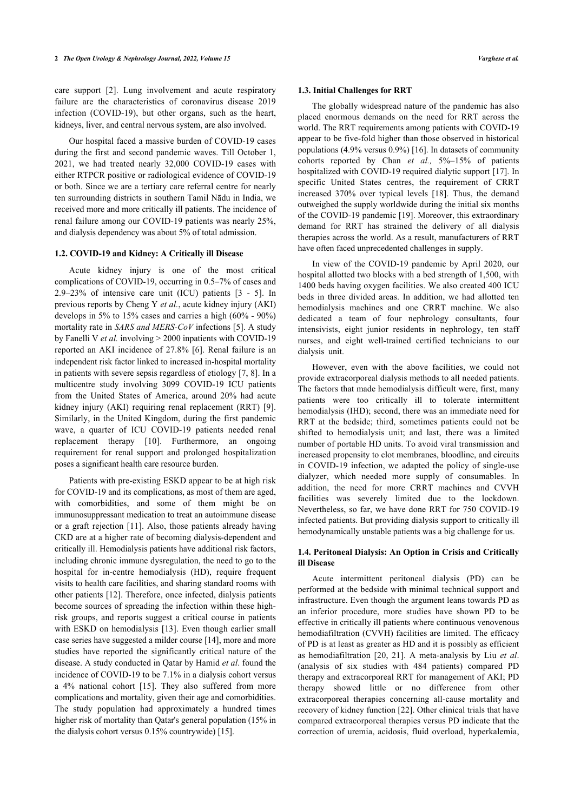care support[[2\]](#page-9-1). Lung involvement and acute respiratory failure are the characteristics of coronavirus disease 2019 infection (COVID-19), but other organs, such as the heart, kidneys, liver, and central nervous system, are also involved.

Our hospital faced a massive burden of COVID-19 cases during the first and second pandemic waves. Till October 1, 2021, we had treated nearly 32,000 COVID-19 cases with either RTPCR positive or radiological evidence of COVID-19 or both. Since we are a tertiary care referral centre for nearly ten surrounding districts in southern Tamil Nādu in India, we received more and more critically ill patients. The incidence of renal failure among our COVID-19 patients was nearly 25%, and dialysis dependency was about 5% of total admission.

# **1.2. COVID-19 and Kidney: A Critically ill Disease**

Acute kidney injury is one of the most critical complications of COVID-19, occurring in 0.5–7% of cases and 2.9–23% of intensive care unit (ICU) patients[[3](#page-9-2) - [5\]](#page-9-3). In previous reports by Cheng Y *et al.*, acute kidney injury (AKI) develops in 5% to 15% cases and carries a high (60% - 90%) mortality rate in *SARS and MERS-CoV* infections [[5](#page-9-3)]. A study by Fanelli V *et al.* involving > 2000 inpatients with COVID-19 reported an AKI incidence of 27.8% [\[6](#page-9-4)]. Renal failure is an independent risk factor linked to increased in-hospital mortality in patients with severe sepsis regardless of etiology [[7](#page-9-5), [8](#page-9-6)]. In a multicentre study involving 3099 COVID-19 ICU patients from the United States of America, around 20% had acute kidney injury (AKI) requiring renal replacement (RRT) [\[9\]](#page-9-7). Similarly, in the United Kingdom, during the first pandemic wave, a quarter of ICU COVID-19 patients needed renal replacement therapy [\[10\]](#page-9-8). Furthermore, an ongoing requirement for renal support and prolonged hospitalization poses a significant health care resource burden.

Patients with pre-existing ESKD appear to be at high risk for COVID-19 and its complications, as most of them are aged, with comorbidities, and some of them might be on immunosuppressant medication to treat an autoimmune disease or a graft rejection [[11\]](#page-9-9). Also, those patients already having CKD are at a higher rate of becoming dialysis-dependent and critically ill. Hemodialysis patients have additional risk factors, including chronic immune dysregulation, the need to go to the hospital for in-centre hemodialysis (HD), require frequent visits to health care facilities, and sharing standard rooms with other patients [[12](#page-9-10)]. Therefore, once infected, dialysis patients become sources of spreading the infection within these highrisk groups, and reports suggest a critical course in patients with ESKD on hemodialysis [[13\]](#page-9-11). Even though earlier small case series have suggested a milder course [\[14](#page-9-12)], more and more studies have reported the significantly critical nature of the disease. A study conducted in Qatar by Hamid *et al*. found the incidence of COVID-19 to be 7.1% in a dialysis cohort versus a 4% national cohort[[15](#page-9-13)]. They also suffered from more complications and mortality, given their age and comorbidities. The study population had approximately a hundred times higher risk of mortality than Qatar's general population (15% in the dialysis cohort versus 0.15% countrywide) [[15\]](#page-9-13).

### **1.3. Initial Challenges for RRT**

The globally widespread nature of the pandemic has also placed enormous demands on the need for RRT across the world. The RRT requirements among patients with COVID-19 appear to be five-fold higher than those observed in historical populations (4.9% versus 0.9%) [\[16](#page-9-14)]. In datasets of community cohorts reported by Chan et al., 5%-15% of patients hospitalized with COVID-19 required dialytic support [[17](#page-9-15)]. In specific United States centres, the requirement of CRRT increased 370% over typical levels [\[18](#page-9-16)]. Thus, the demand outweighed the supply worldwide during the initial six months of the COVID-19 pandemic [[19\]](#page-9-17). Moreover, this extraordinary demand for RRT has strained the delivery of all dialysis therapies across the world. As a result, manufacturers of RRT have often faced unprecedented challenges in supply.

In view of the COVID-19 pandemic by April 2020, our hospital allotted two blocks with a bed strength of 1,500, with 1400 beds having oxygen facilities. We also created 400 ICU beds in three divided areas. In addition, we had allotted ten hemodialysis machines and one CRRT machine. We also dedicated a team of four nephrology consultants, four intensivists, eight junior residents in nephrology, ten staff nurses, and eight well-trained certified technicians to our dialysis unit.

However, even with the above facilities, we could not provide extracorporeal dialysis methods to all needed patients. The factors that made hemodialysis difficult were, first, many patients were too critically ill to tolerate intermittent hemodialysis (IHD); second, there was an immediate need for RRT at the bedside; third, sometimes patients could not be shifted to hemodialysis unit; and last, there was a limited number of portable HD units. To avoid viral transmission and increased propensity to clot membranes, bloodline, and circuits in COVID-19 infection, we adapted the policy of single-use dialyzer, which needed more supply of consumables. In addition, the need for more CRRT machines and CVVH facilities was severely limited due to the lockdown. Nevertheless, so far, we have done RRT for 750 COVID-19 infected patients. But providing dialysis support to critically ill hemodynamically unstable patients was a big challenge for us.

# **1.4. Peritoneal Dialysis: An Option in Crisis and Critically ill Disease**

Acute intermittent peritoneal dialysis (PD) can be performed at the bedside with minimal technical support and infrastructure. Even though the argument leans towards PD as an inferior procedure, more studies have shown PD to be effective in critically ill patients where continuous venovenous hemodiafiltration (CVVH) facilities are limited. The efficacy of PD is at least as greater as HD and it is possibly as efficient as hemodiafiltration [\[20](#page-9-18), [21\]](#page-10-0). A meta-analysis by Liu *et al*. (analysis of six studies with 484 patients) compared PD therapy and extracorporeal RRT for management of AKI; PD therapy showed little or no difference from other extracorporeal therapies concerning all-cause mortality and recovery of kidney function [[22\]](#page-10-1). Other clinical trials that have compared extracorporeal therapies versus PD indicate that the correction of uremia, acidosis, fluid overload, hyperkalemia,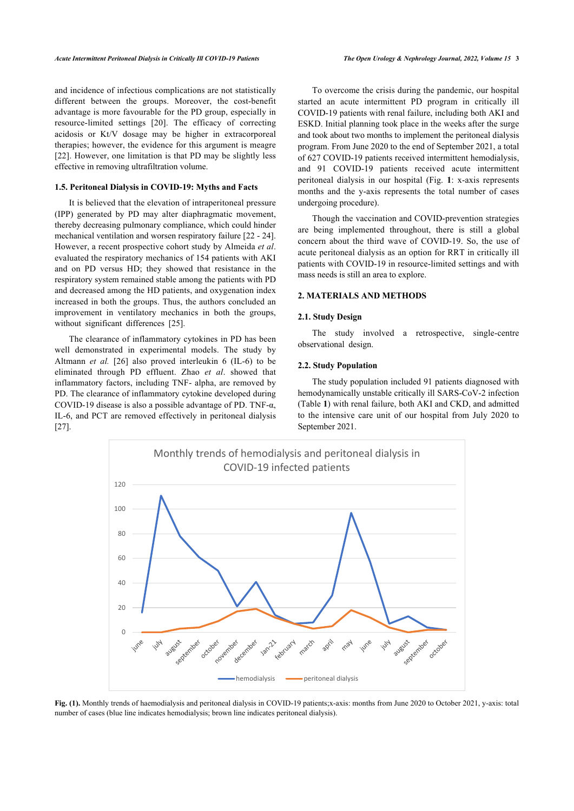and incidence of infectious complications are not statistically different between the groups. Moreover, the cost-benefit advantage is more favourable for the PD group, especially in resource-limited settings[[20](#page-9-18)]. The efficacy of correcting acidosis or Kt/V dosage may be higher in extracorporeal therapies; however, the evidence for this argument is meagre [[22\]](#page-10-1). However, one limitation is that PD may be slightly less effective in removing ultrafiltration volume.

# **1.5. Peritoneal Dialysis in COVID-19: Myths and Facts**

It is believed that the elevation of intraperitoneal pressure (IPP) generated by PD may alter diaphragmatic movement, thereby decreasing pulmonary compliance, which could hinder mechanical ventilation and worsen respiratory failure [\[22](#page-10-1) - [24](#page-10-2)]. However, a recent prospective cohort study by Almeida *et al*. evaluated the respiratory mechanics of 154 patients with AKI and on PD versus HD; they showed that resistance in the respiratory system remained stable among the patients with PD and decreased among the HD patients, and oxygenation index increased in both the groups. Thus, the authors concluded an improvement in ventilatory mechanics in both the groups, withoutsignificant differences [[25\]](#page-10-3).

The clearance of inflammatory cytokines in PD has been well demonstrated in experimental models. The study by Altmann *et al.* [[26](#page-10-4)] also proved interleukin 6 (IL-6) to be eliminated through PD effluent. Zhao *et al*. showed that inflammatory factors, including TNF- alpha, are removed by PD. The clearance of inflammatory cytokine developed during COVID-19 disease is also a possible advantage of PD. TNF-α, IL-6, and PCT are removed effectively in peritoneal dialysis [[27\]](#page-10-5).

To overcome the crisis during the pandemic, our hospital started an acute intermittent PD program in critically ill COVID-19 patients with renal failure, including both AKI and ESKD. Initial planning took place in the weeks after the surge and took about two months to implement the peritoneal dialysis program. From June 2020 to the end of September 2021, a total of 627 COVID-19 patients received intermittent hemodialysis, and 91 COVID-19 patients received acute intermittent peritoneal dialysis in our hospital (Fig.**1**: x-axis represents months and the y-axis represents the total number of cases undergoing procedure).

Though the vaccination and COVID-prevention strategies are being implemented throughout, there is still a global concern about the third wave of COVID-19. So, the use of acute peritoneal dialysis as an option for RRT in critically ill patients with COVID-19 in resource-limited settings and with mass needs is still an area to explore.

### **2. MATERIALS AND METHODS**

# **2.1. Study Design**

The study involved a retrospective, single-centre observational design.

### **2.2. Study Population**

The study population included 91 patients diagnosed with hemod[yn](#page-2-1)amically unstable critically ill SARS-CoV-2 infection (Table **1**) with renal failure, both AKI and CKD, and admitted to the intensive care unit of our hospital from July 2020 to September 2021.

<span id="page-2-0"></span>

<span id="page-2-1"></span>**Fig. (1).** Monthly trends of haemodialysis and peritoneal dialysis in COVID-19 patients;x-axis: months from June 2020 to October 2021, y-axis: total number of cases (blue line indicates hemodialysis; brown line indicates peritoneal dialysis).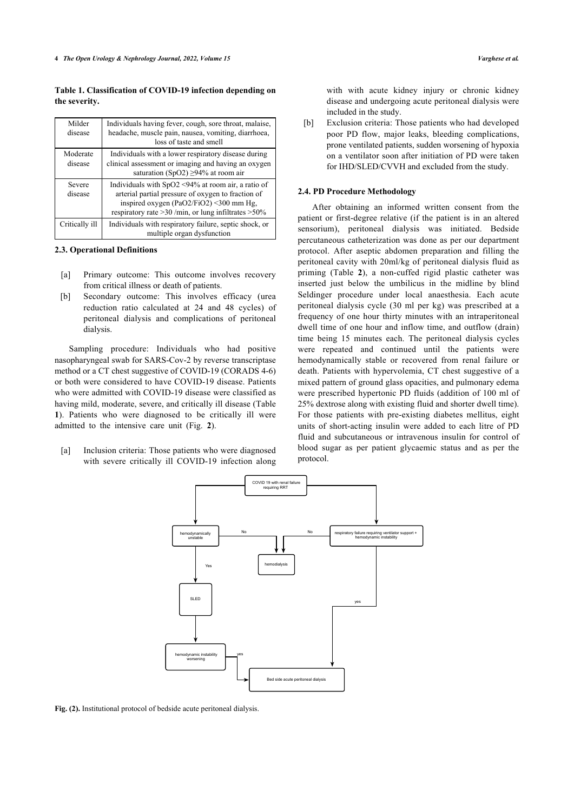# **Table 1. Classification of COVID-19 infection depending on the severity.**

| Milder<br>disease   | Individuals having fever, cough, sore throat, malaise,<br>headache, muscle pain, nausea, vomiting, diarrhoea,<br>loss of taste and smell                                                                               |
|---------------------|------------------------------------------------------------------------------------------------------------------------------------------------------------------------------------------------------------------------|
| Moderate<br>disease | Individuals with a lower respiratory disease during<br>clinical assessment or imaging and having an oxygen<br>saturation (SpO2) $\geq$ 94% at room air                                                                 |
| Severe<br>disease   | Individuals with $SpO2 \leq 94\%$ at room air, a ratio of<br>arterial partial pressure of oxygen to fraction of<br>inspired oxygen (PaO2/FiO2) <300 mm Hg,<br>respiratory rate $>30$ /min, or lung infiltrates $>50\%$ |
| Critically ill      | Individuals with respiratory failure, septic shock, or<br>multiple organ dysfunction                                                                                                                                   |

#### **2.3. Operational Definitions**

- [a] Primary outcome: This outcome involves recovery from critical illness or death of patients.
- [b] Secondary outcome: This involves efficacy (urea reduction ratio calculated at 24 and 48 cycles) of peritoneal dialysis and complications of peritoneal dialysis.

Sampling procedure: Individuals who had positive nasopharyngeal swab for SARS-Cov-2 by reverse transcriptase method or a CT chest suggestive of COVID-19 (CORADS 4-6) or both were considered to have COVID-19 disease. Patients who were admitted with COVID-19 disease were classified as having mild, moderate, severe, and critically ill disease (Table **[1](#page-2-1)**). Patients who were diagnosed to be critically ill were admitted to the intensive care unit (Fig.**2**).

<span id="page-3-0"></span>[a] Inclusion criteria: Those patients who were diagnosed with severe critically ill COVID-19 infection along with with acute kidney injury or chronic kidney disease and undergoing acute peritoneal dialysis were included in the study.

[b] Exclusion criteria: Those patients who had developed poor PD flow, major leaks, bleeding complications, prone ventilated patients, sudden worsening of hypoxia on a ventilator soon after initiation of PD were taken for IHD/SLED/CVVH and excluded from the study.

#### **2.4. PD Procedure Methodology**

After obtaining an informed written consent from the patient or first-degree relative (if the patient is in an altered sensorium), peritoneal dialysis was initiated. Bedside percutaneous catheterization was done as per our department protocol. After aseptic abdomen preparation and filling the peritoneal cavity with 20ml/kg of peritoneal dialysis fluid as priming (Table**2**), a non-cuffed rigid plastic catheter was inserted just below the umbilicus in the midline by blind Seldinger procedure under local anaesthesia. Each acute peritoneal dialysis cycle (30 ml per kg) was prescribed at a frequency of one hour thirty minutes with an intraperitoneal dwell time of one hour and inflow time, and outflow (drain) time being 15 minutes each. The peritoneal dialysis cycles were repeated and continued until the patients were hemodynamically stable or recovered from renal failure or death. Patients with hypervolemia, CT chest suggestive of a mixed pattern of ground glass opacities, and pulmonary edema were prescribed hypertonic PD fluids (addition of 100 ml of 25% dextrose along with existing fluid and shorter dwell time). For those patients with pre-existing diabetes mellitus, eight units of short-acting insulin were added to each litre of PD fluid and subcutaneous or intravenous insulin for control of blood sugar as per patient glycaemic status and as per the protocol.



<span id="page-3-1"></span>**Fig. (2).** Institutional protocol of bedside acute peritoneal dialysis.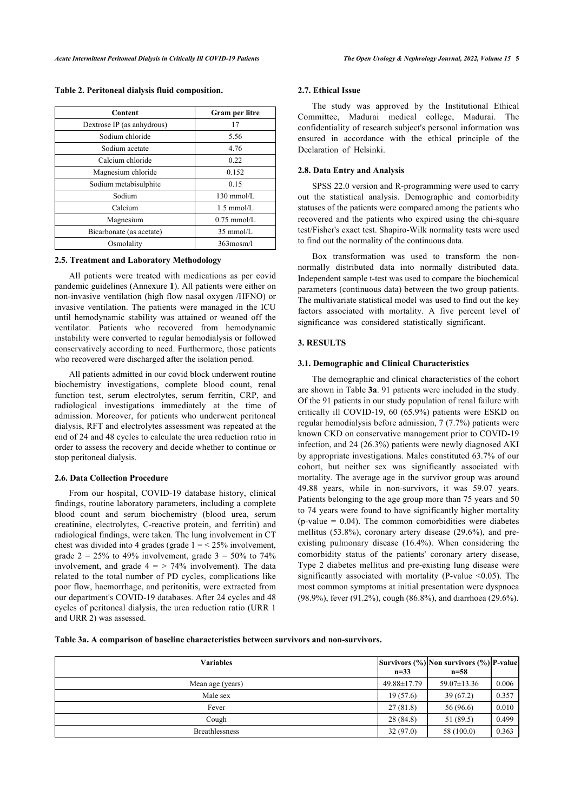| <b>Content</b>             | Gram per litre       |
|----------------------------|----------------------|
| Dextrose IP (as anhydrous) | 17                   |
| Sodium chloride            | 5.56                 |
| Sodium acetate             | 4.76                 |
| Calcium chloride           | 0.22                 |
| Magnesium chloride         | 0.152                |
| Sodium metabisulphite      | 0.15                 |
| Sodium                     | $130$ mmol/L         |
| Calcium                    | $1.5 \text{ mmol/L}$ |
| Magnesium                  | $0.75$ mmol/L        |
| Bicarbonate (as acetate)   | $35 \text{ mmol/L}$  |
| Osmolality                 | $363$ mosm/l         |

**Table 2. Peritoneal dialysis fluid composition.**

# **2.5. Treatment and Laboratory Methodology**

All patients were treated with medications as per covid pandemic guidelines (Annexure **1**). All patients were either on non-invasive ventilation (high flow nasal oxygen /HFNO) or invasive ventilation. The patients were managed in the ICU until hemodynamic stability was attained or weaned off the ventilator. Patients who recovered from hemodynamic instability were converted to regular hemodialysis or followed conservatively according to need. Furthermore, those patients who recovered were discharged after the isolation period.

All patients admitted in our covid block underwent routine biochemistry investigations, complete blood count, renal function test, serum electrolytes, serum ferritin, CRP, and radiological investigations immediately at the time of admission. Moreover, for patients who underwent peritoneal dialysis, RFT and electrolytes assessment was repeated at the end of 24 and 48 cycles to calculate the urea reduction ratio in order to assess the recovery and decide whether to continue or stop peritoneal dialysis.

# **2.6. Data Collection Procedure**

From our hospital, COVID-19 database history, clinical findings, routine laboratory parameters, including a complete blood count and serum biochemistry (blood urea, serum creatinine, electrolytes, C-reactive protein, and ferritin) and radiological findings, were taken. The lung involvement in CT chest was divided into 4 grades (grade  $1 = < 25\%$  involvement, grade  $2 = 25\%$  to 49% involvement, grade  $3 = 50\%$  to 74% involvement, and grade  $4 =$  > 74% involvement). The data related to the total number of PD cycles, complications like poor flow, haemorrhage, and peritonitis, were extracted from our department's COVID-19 databases. After 24 cycles and 48 cycles of peritoneal dialysis, the urea reduction ratio (URR 1 and URR 2) was assessed.

#### **2.7. Ethical Issue**

The study was approved by the Institutional Ethical Committee, Madurai medical college, Madurai. The confidentiality of research subject's personal information was ensured in accordance with the ethical principle of the Declaration of Helsinki.

#### **2.8. Data Entry and Analysis**

SPSS 22.0 version and R-programming were used to carry out the statistical analysis. Demographic and comorbidity statuses of the patients were compared among the patients who recovered and the patients who expired using the chi-square test/Fisher's exact test. Shapiro-Wilk normality tests were used to find out the normality of the continuous data.

Box transformation was used to transform the nonnormally distributed data into normally distributed data. Independent sample t-test was used to compare the biochemical parameters (continuous data) between the two group patients. The multivariate statistical model was used to find out the key factors associated with mortality. A five percent level of significance was considered statistically significant.

# **3. RESULTS**

### **3.1. Demographic and Clinical Characteristics**

The demographic and clinical characteristics of the cohort are shown in Table **[3a](#page--1-0)**. 91 patients were included in the study. Of the 91 patients in our study population of renal failure with critically ill COVID-19, 60 (65.9%) patients were ESKD on regular hemodialysis before admission, 7 (7.7%) patients were known CKD on conservative management prior to COVID-19 infection, and 24 (26.3%) patients were newly diagnosed AKI by appropriate investigations. Males constituted 63.7% of our cohort, but neither sex was significantly associated with mortality. The average age in the survivor group was around 49.88 years, while in non-survivors, it was 59.07 years. Patients belonging to the age group more than 75 years and 50 to 74 years were found to have significantly higher mortality (p-value  $= 0.04$ ). The common comorbidities were diabetes mellitus (53.8%), coronary artery disease (29.6%), and preexisting pulmonary disease (16.4%). When considering the comorbidity status of the patients' coronary artery disease, Type 2 diabetes mellitus and pre-existing lung disease were significantly associated with mortality (P-value  $\leq 0.05$ ). The most common symptoms at initial presentation were dyspnoea (98.9%), fever (91.2%), cough (86.8%), and diarrhoea (29.6%).

**Table 3a. A comparison of baseline characteristics between survivors and non-survivors.**

| <b>Variables</b> | $n=33$      | Survivors (%) Non survivors (%) P-value<br>$n = 58$ |       |
|------------------|-------------|-----------------------------------------------------|-------|
| Mean age (years) | 49.88±17.79 | $59.07 \pm 13.36$                                   | 0.006 |
| Male sex         | 19(57.6)    | 39(67.2)                                            | 0.357 |
| Fever            | 27(81.8)    | 56 (96.6)                                           | 0.010 |
| Cough            | 28 (84.8)   | 51 (89.5)                                           | 0.499 |
| Breathlessness   | 32(97.0)    | 58(100.0)                                           | 0.363 |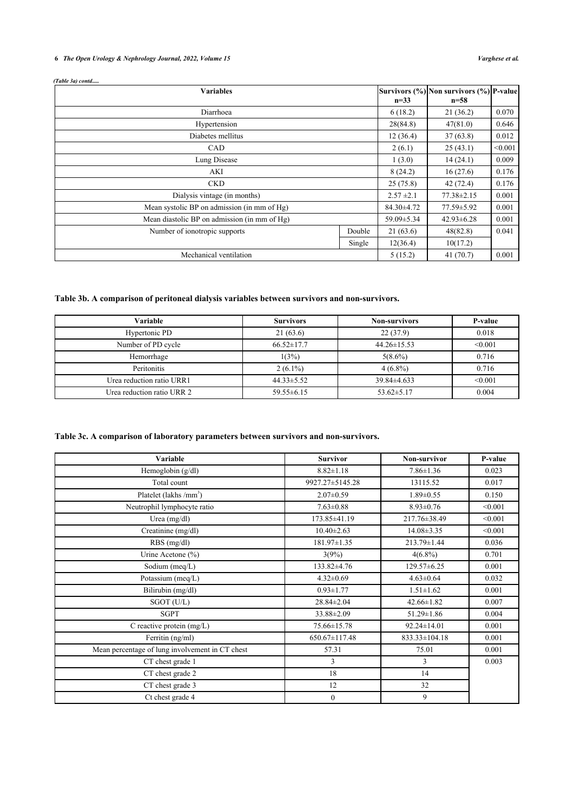# **6** *The Open Urology & Nephrology Journal, 2022, Volume 15 Varghese et al.*

### *(Table 3a) contd.....*

| <b>Variables</b>                             |        |                  | Survivors (%) Non survivors (%) P-value |         |
|----------------------------------------------|--------|------------------|-----------------------------------------|---------|
|                                              |        | $n = 33$         | $n = 58$                                |         |
| Diarrhoea                                    |        | 6(18.2)          | 21(36.2)                                | 0.070   |
| Hypertension                                 |        | 28(84.8)         | 47(81.0)                                | 0.646   |
| Diabetes mellitus                            |        | 12(36.4)         | 37(63.8)                                | 0.012   |
| <b>CAD</b>                                   |        | 2(6.1)           | 25(43.1)                                | < 0.001 |
| Lung Disease                                 |        | 1(3.0)           | 14(24.1)                                | 0.009   |
| AKI                                          |        | 8(24.2)          | 16(27.6)                                | 0.176   |
| <b>CKD</b>                                   |        | 25(75.8)         | 42(72.4)                                | 0.176   |
| Dialysis vintage (in months)                 |        | $2.57 \pm 2.1$   | $77.38 \pm 2.15$                        | 0.001   |
| Mean systolic BP on admission (in mm of Hg)  |        | $84.30 \pm 4.72$ | 77.59 ± 5.92                            | 0.001   |
| Mean diastolic BP on admission (in mm of Hg) |        | 59.09 ± 5.34     | $42.93 \pm 6.28$                        | 0.001   |
| Number of ionotropic supports<br>Double      |        | 21(63.6)         | 48(82.8)                                | 0.041   |
|                                              | Single | 12(36.4)         | 10(17.2)                                |         |
| Mechanical ventilation                       |        | 5(15.2)          | 41(70.7)                                | 0.001   |

# **Table 3b. A comparison of peritoneal dialysis variables between survivors and non-survivors.**

| Variable                   | <b>Survivors</b> | <b>Non-survivors</b> | P-value |
|----------------------------|------------------|----------------------|---------|
| Hypertonic PD              | 21(63.6)         | 22(37.9)             | 0.018   |
| Number of PD cycle         | $66.52 \pm 17.7$ | $44.26 \pm 15.53$    | < 0.001 |
| Hemorrhage                 | 1(3%)            | $5(8.6\%)$           | 0.716   |
| <b>Peritonitis</b>         | $2(6.1\%)$       | $4(6.8\%)$           | 0.716   |
| Urea reduction ratio URR1  | $44.33 \pm 5.52$ | 39.84±4.633          | < 0.001 |
| Urea reduction ratio URR 2 | $59.55 \pm 6.15$ | $53.62 \pm 5.17$     | 0.004   |

# **Table 3c. A comparison of laboratory parameters between survivors and non-survivors.**

| Variable                                        | <b>Survivor</b>   | <b>Non-survivor</b> | P-value |
|-------------------------------------------------|-------------------|---------------------|---------|
| Hemoglobin (g/dl)                               | $8.82 \pm 1.18$   | $7.86 \pm 1.36$     | 0.023   |
| Total count                                     | 9927.27±5145.28   | 13115.52            | 0.017   |
| Platelet (lakhs /mm <sup>3</sup> )              | $2.07 \pm 0.59$   | $1.89 \pm 0.55$     | 0.150   |
| Neutrophil lymphocyte ratio                     | $7.63 \pm 0.88$   | $8.93 \pm 0.76$     | < 0.001 |
| Urea $(mg/dl)$                                  | 173.85±41.19      | 217.76±38.49        | < 0.001 |
| Creatinine (mg/dl)                              | $10.40 \pm 2.63$  | $14.08 \pm 3.35$    | < 0.001 |
| $RBS$ (mg/dl)                                   | $181.97 \pm 1.35$ | 213.79±1.44         | 0.036   |
| Urine Acetone $(\% )$                           | 3(9%)             | $4(6.8\%)$          | 0.701   |
| Sodium (meq/L)                                  | 133.82±4.76       | $129.57\pm 6.25$    | 0.001   |
| Potassium (meq/L)                               | $4.32 \pm 0.69$   | $4.63 \pm 0.64$     | 0.032   |
| Bilirubin (mg/dl)                               | $0.93 \pm 1.77$   | $1.51 \pm 1.62$     | 0.001   |
| SGOT (U/L)                                      | $28.84 \pm 2.04$  | $42.66 \pm 1.82$    | 0.007   |
| <b>SGPT</b>                                     | 33.88±2.09        | $51.29 \pm 1.86$    | 0.004   |
| C reactive protein $(mg/L)$                     | 75.66±15.78       | 92.24±14.01         | 0.001   |
| Ferritin (ng/ml)                                | 650.67±117.48     | 833.33±104.18       | 0.001   |
| Mean percentage of lung involvement in CT chest | 57.31             | 75.01               | 0.001   |
| CT chest grade 1                                | 3                 | 3                   | 0.003   |
| CT chest grade 2                                | 18                | 14                  |         |
| CT chest grade 3                                | 12                | 32                  |         |
| Ct chest grade 4                                | $\mathbf{0}$      | 9                   |         |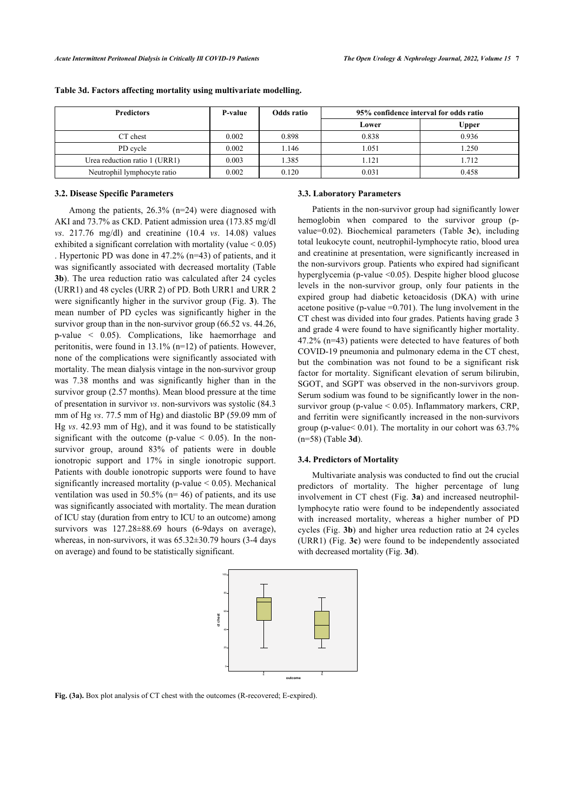| <b>Predictors</b>             | P-value | Odds ratio | 95% confidence interval for odds ratio |       |
|-------------------------------|---------|------------|----------------------------------------|-------|
|                               |         |            | Lower                                  | Upper |
| CT chest                      | 0.002   | 0.898      | 0.838                                  | 0.936 |
| PD cycle                      | 0.002   | 1.146      | 1.051                                  | 1.250 |
| Urea reduction ratio 1 (URR1) | 0.003   | 1.385      | 1.121                                  | 1.712 |
| Neutrophil lymphocyte ratio   | 0.002   | 0.120      | 0.031                                  | 0.458 |

### **Table 3d. Factors affecting mortality using multivariate modelling.**

# **3.2. Disease Specific Parameters**

Among the patients, 26.3% (n=24) were diagnosed with AKI and 73.7% as CKD. Patient admission urea (173.85 mg/dl *vs*. 217.76 mg/dl) and creatinine (10.4 *vs*. 14.08) values exhibited a significant correlation with mortality (value < 0.05) . Hypertonic PD was done in 47.2% (n=43) of patients, and it was significantly associated with decreased mortality (Table **[3b](#page--1-0)**). The urea reduction ratio was calculated after 24 cycles (URR1) and 48 cycles (URR 2) of PD. Both URR1 and URR 2 were significantly higher in the survivor group (Fig. **[3](#page--1-0)**). The mean number of PD cycles was significantly higher in the survivor group than in the non-survivor group (66.52 vs. 44.26, p-value < 0.05). Complications, like haemorrhage and peritonitis, were found in 13.1% (n=12) of patients. However, none of the complications were significantly associated with mortality. The mean dialysis vintage in the non-survivor group was 7.38 months and was significantly higher than in the survivor group (2.57 months). Mean blood pressure at the time of presentation in survivor *vs*. non-survivors was systolic (84.3 mm of Hg *vs*. 77.5 mm of Hg) and diastolic BP (59.09 mm of Hg *vs*. 42.93 mm of Hg), and it was found to be statistically significant with the outcome (p-value  $\leq$  0.05). In the nonsurvivor group, around 83% of patients were in double ionotropic support and 17% in single ionotropic support. Patients with double ionotropic supports were found to have significantly increased mortality (p-value  $< 0.05$ ). Mechanical ventilation was used in  $50.5\%$  (n= 46) of patients, and its use was significantly associated with mortality. The mean duration of ICU stay (duration from entry to ICU to an outcome) among survivors was  $127.28 \pm 88.69$  hours (6-9days on average), whereas, in non-survivors, it was 65.32±30.79 hours (3-4 days on average) and found to be statistically significant.



#### **Fig. (3a).** Box plot analysis of CT chest with the outcomes (R-recovered; E-expired).

#### **3.3. Laboratory Parameters**

Patients in the non-survivor group had significantly lower hemoglobin when compared to the survivor group (pvalue=0.02). Biochemical parameters (Table **[3c](#page--1-0)**), including total leukocyte count, neutrophil-lymphocyte ratio, blood urea and creatinine at presentation, were significantly increased in the non-survivors group. Patients who expired had significant hyperglycemia (p-value <0.05). Despite higher blood glucose levels in the non-survivor group, only four patients in the expired group had diabetic ketoacidosis (DKA) with urine acetone positive (p-value  $=0.701$ ). The lung involvement in the CT chest was divided into four grades. Patients having grade 3 and grade 4 were found to have significantly higher mortality. 47.2% (n=43) patients were detected to have features of both COVID-19 pneumonia and pulmonary edema in the CT chest, but the combination was not found to be a significant risk factor for mortality. Significant elevation of serum bilirubin, SGOT, and SGPT was observed in the non-survivors group. Serum sodium was found to be significantly lower in the nonsurvivor group (p-value < 0.05). Inflammatory markers, CRP, and ferritin were significantly increased in the non-survivors group (p-value< 0.01). The mortality in our cohort was 63.7% (n=58) (Table **[3d](#page--1-0)**).

# **3.4. Predictors of Mortality**

Multivariate analysis was conducted to find out the crucial predictors of mortality. The higher percentage of lung involvement in CT chest (Fig. **[3a](#page--1-0)**) and increased neutrophillymphocyte ratio were found to be independently associated with increased mortality, whereas a higher number of PD cycles (Fig. **[3b](#page--1-0)**) and higher urea reduction ratio at 24 cycles (URR1) (Fig. **[3c](#page--1-0)**) were found to be independently associated with decreased mortality (Fig. **[3d](#page--1-0)**).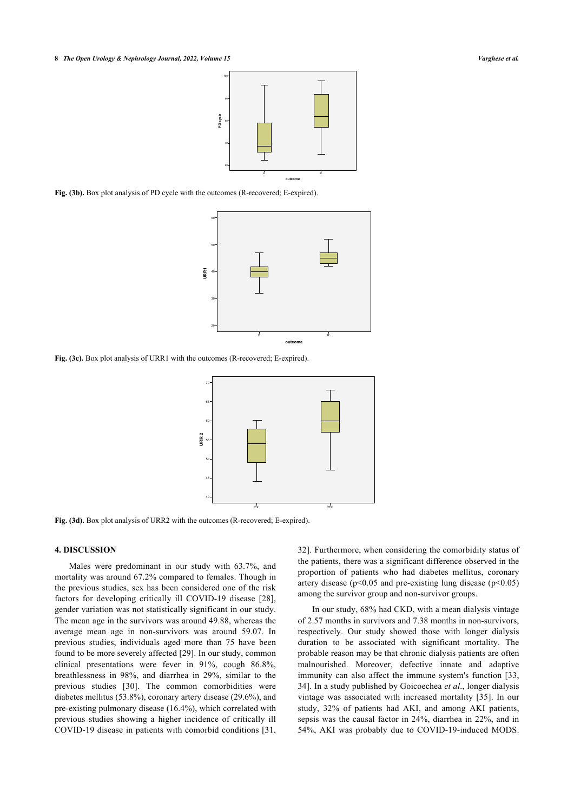**8** *The Open Urology & Nephrology Journal, 2022, Volume 15 Varghese et al.*



**Fig. (3b).** Box plot analysis of PD cycle with the outcomes (R-recovered; E-expired).



**Fig. (3c).** Box plot analysis of URR1 with the outcomes (R-recovered; E-expired).



**Fig. (3d).** Box plot analysis of URR2 with the outcomes (R-recovered; E-expired).

# **4. DISCUSSION**

Males were predominant in our study with 63.7%, and mortality was around 67.2% compared to females. Though in the previous studies, sex has been considered one of the risk factors for developing critically ill COVID-19 disease[[28\]](#page-10-6), gender variation was not statistically significant in our study. The mean age in the survivors was around 49.88, whereas the average mean age in non-survivors was around 59.07. In previous studies, individuals aged more than 75 have been found to be more severely affected [[29](#page-10-7)]. In our study, common clinical presentations were fever in 91%, cough 86.8%, breathlessness in 98%, and diarrhea in 29%, similar to the previous studies [\[30\]](#page-10-8). The common comorbidities were diabetes mellitus (53.8%), coronary artery disease (29.6%), and pre-existing pulmonary disease (16.4%), which correlated with previous studies showing a higher incidence of critically ill COVID-19 disease in patients with comorbid conditions [[31](#page-10-9), [32](#page-10-10)]. Furthermore, when considering the comorbidity status of the patients, there was a significant difference observed in the proportion of patients who had diabetes mellitus, coronary artery disease ( $p<0.05$  and pre-existing lung disease ( $p<0.05$ ) among the survivor group and non-survivor groups.

In our study, 68% had CKD, with a mean dialysis vintage of 2.57 months in survivors and 7.38 months in non-survivors, respectively. Our study showed those with longer dialysis duration to be associated with significant mortality. The probable reason may be that chronic dialysis patients are often malnourished. Moreover, defective innate and adaptive immunity can also affect the immune system's function [[33](#page-10-11), [34](#page-10-12)]. In a study published by Goicoechea *et al*., longer dialysis vintage was associated with increased mortality [\[35](#page-10-13)]. In our study, 32% of patients had AKI, and among AKI patients, sepsis was the causal factor in 24%, diarrhea in 22%, and in 54%, AKI was probably due to COVID-19-induced MODS.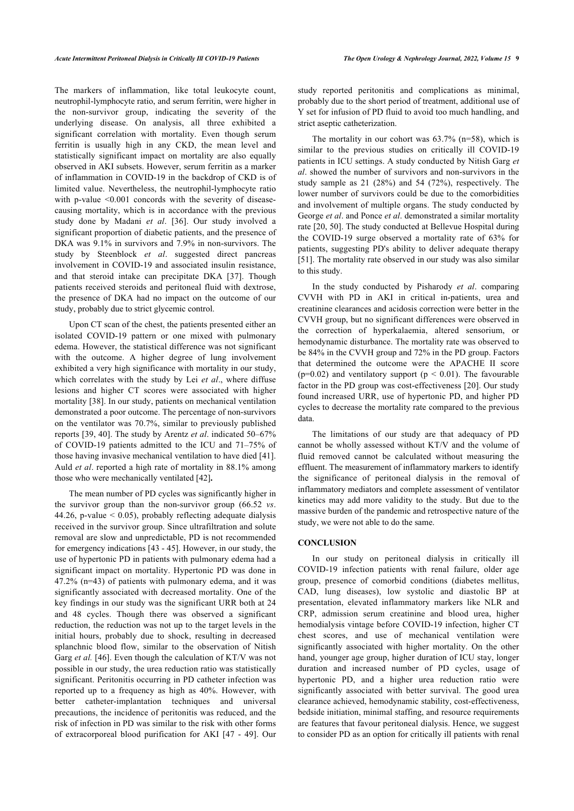The markers of inflammation, like total leukocyte count, neutrophil-lymphocyte ratio, and serum ferritin, were higher in the non-survivor group, indicating the severity of the underlying disease. On analysis, all three exhibited a significant correlation with mortality. Even though serum ferritin is usually high in any CKD, the mean level and statistically significant impact on mortality are also equally observed in AKI subsets. However, serum ferritin as a marker of inflammation in COVID-19 in the backdrop of CKD is of limited value. Nevertheless, the neutrophil-lymphocyte ratio with p-value <0.001 concords with the severity of diseasecausing mortality, which is in accordance with the previous study done by Madani *et al*. [\[36](#page-10-14)]. Our study involved a significant proportion of diabetic patients, and the presence of DKA was 9.1% in survivors and 7.9% in non-survivors. The study by Steenblock *et al*. suggested direct pancreas involvement in COVID-19 and associated insulin resistance, and that steroid intake can precipitate DKA[[37\]](#page-10-15). Though patients received steroids and peritoneal fluid with dextrose, the presence of DKA had no impact on the outcome of our study, probably due to strict glycemic control.

Upon CT scan of the chest, the patients presented either an isolated COVID-19 pattern or one mixed with pulmonary edema. However, the statistical difference was not significant with the outcome. A higher degree of lung involvement exhibited a very high significance with mortality in our study, which correlates with the study by Lei *et al*., where diffuse lesions and higher CT scores were associated with higher mortality [[38\]](#page-10-16). In our study, patients on mechanical ventilation demonstrated a poor outcome. The percentage of non-survivors on the ventilator was 70.7%, similar to previously published reports [[39](#page-10-17), [40](#page-10-18)]. The study by Arentz *et al*. indicated 50–67% of COVID-19 patients admitted to the ICU and 71–75% of those having invasive mechanical ventilation to have died [[41](#page-10-19)]. Auld *et al*. reported a high rate of mortality in 88.1% among those who were mechanically ventilated [\[42](#page-10-20)]**.**

The mean number of PD cycles was significantly higher in the survivor group than the non-survivor group (66.52 *vs*. 44.26, p-value  $\leq$  0.05), probably reflecting adequate dialysis received in the survivor group. Since ultrafiltration and solute removal are slow and unpredictable, PD is not recommended for emergency indications [\[43](#page-10-21) - [45](#page-10-4)]. However, in our study, the use of hypertonic PD in patients with pulmonary edema had a significant impact on mortality. Hypertonic PD was done in 47.2% (n=43) of patients with pulmonary edema, and it was significantly associated with decreased mortality. One of the key findings in our study was the significant URR both at 24 and 48 cycles. Though there was observed a significant reduction, the reduction was not up to the target levels in the initial hours, probably due to shock, resulting in decreased splanchnic blood flow, similar to the observation of Nitish Garg *et al.* [[46\]](#page-10-5). Even though the calculation of KT/V was not possible in our study, the urea reduction ratio was statistically significant. Peritonitis occurring in PD catheter infection was reported up to a frequency as high as 40%. However, with better catheter-implantation techniques and universal precautions, the incidence of peritonitis was reduced, and the risk of infection in PD was similar to the risk with other forms of extracorporeal blood purification for AKI [\[47](#page-10-22) - [49\]](#page-10-23). Our study reported peritonitis and complications as minimal, probably due to the short period of treatment, additional use of Y set for infusion of PD fluid to avoid too much handling, and strict aseptic catheterization.

The mortality in our cohort was  $63.7\%$  (n=58), which is similar to the previous studies on critically ill COVID-19 patients in ICU settings. A study conducted by Nitish Garg *et al*. showed the number of survivors and non-survivors in the study sample as 21 (28%) and 54 (72%), respectively. The lower number of survivors could be due to the comorbidities and involvement of multiple organs. The study conducted by George *et al*. and Ponce *et al*. demonstrated a similar mortality rate [\[20](#page-9-18), [50](#page-10-24)]. The study conducted at Bellevue Hospital during the COVID-19 surge observed a mortality rate of 63% for patients, suggesting PD's ability to deliver adequate therapy [[51](#page-10-25)]. The mortality rate observed in our study was also similar to this study.

In the study conducted by Pisharody *et al*. comparing CVVH with PD in AKI in critical in-patients, urea and creatinine clearances and acidosis correction were better in the CVVH group, but no significant differences were observed in the correction of hyperkalaemia, altered sensorium, or hemodynamic disturbance. The mortality rate was observed to be 84% in the CVVH group and 72% in the PD group. Factors that determined the outcome were the APACHE II score ( $p=0.02$ ) and ventilatory support ( $p < 0.01$ ). The favourable factor in the PD group was cost-effectiveness [\[20\]](#page-9-18). Our study found increased URR, use of hypertonic PD, and higher PD cycles to decrease the mortality rate compared to the previous data.

The limitations of our study are that adequacy of PD cannot be wholly assessed without KT/V and the volume of fluid removed cannot be calculated without measuring the effluent. The measurement of inflammatory markers to identify the significance of peritoneal dialysis in the removal of inflammatory mediators and complete assessment of ventilator kinetics may add more validity to the study. But due to the massive burden of the pandemic and retrospective nature of the study, we were not able to do the same.

# **CONCLUSION**

In our study on peritoneal dialysis in critically ill COVID-19 infection patients with renal failure, older age group, presence of comorbid conditions (diabetes mellitus, CAD, lung diseases), low systolic and diastolic BP at presentation, elevated inflammatory markers like NLR and CRP, admission serum creatinine and blood urea, higher hemodialysis vintage before COVID-19 infection, higher CT chest scores, and use of mechanical ventilation were significantly associated with higher mortality. On the other hand, younger age group, higher duration of ICU stay, longer duration and increased number of PD cycles, usage of hypertonic PD, and a higher urea reduction ratio were significantly associated with better survival. The good urea clearance achieved, hemodynamic stability, cost-effectiveness, bedside initiation, minimal staffing, and resource requirements are features that favour peritoneal dialysis. Hence, we suggest to consider PD as an option for critically ill patients with renal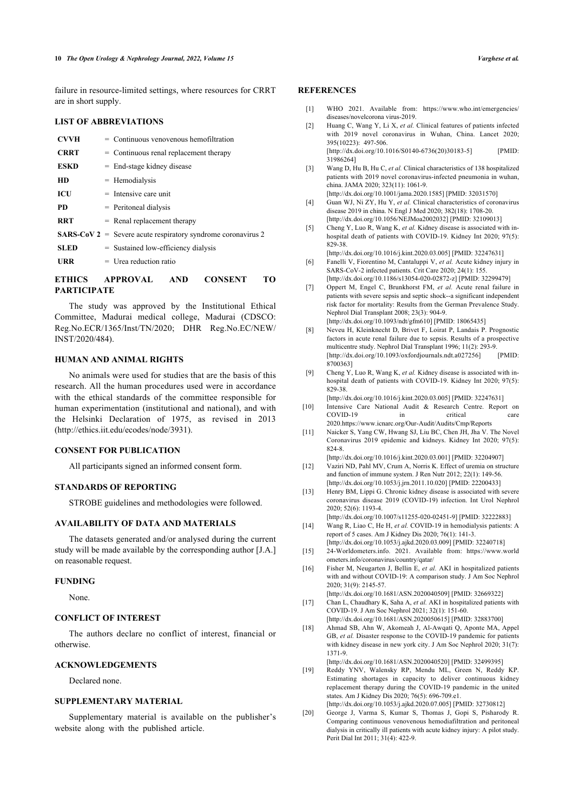failure in resource-limited settings, where resources for CRRT are in short supply.

# <span id="page-9-1"></span><span id="page-9-0"></span>**LIST OF ABBREVIATIONS**

<span id="page-9-2"></span>

| <b>CVVH</b> | $=$ Continuous venovenous hemofiltration                            |
|-------------|---------------------------------------------------------------------|
| <b>CRRT</b> | $=$ Continuous renal replacement therapy                            |
| <b>ESKD</b> | $=$ End-stage kidney disease                                        |
| <b>HD</b>   | $=$ Hemodialysis                                                    |
| ICU         | $=$ Intensive care unit                                             |
| <b>PD</b>   | $=$ Peritoneal dialysis                                             |
| <b>RRT</b>  | $=$ Renal replacement therapy                                       |
|             | <b>SARS-CoV 2</b> = Severe acute respiratory syndrome coronavirus 2 |
| <b>SLED</b> | $=$ Sustained low-efficiency dialysis                               |
| URR         | $=$ Urea reduction ratio                                            |
|             |                                                                     |

# <span id="page-9-5"></span><span id="page-9-4"></span><span id="page-9-3"></span>**ETHICS APPROVAL AND CONSENT TO PARTICIPATE**

<span id="page-9-6"></span>The study was approved by the Institutional Ethical Committee, Madurai medical college, Madurai (CDSCO: Reg.No.ECR/1365/Inst/TN/2020; DHR Reg.No.EC/NEW/ INST/2020/484).

### **HUMAN AND ANIMAL RIGHTS**

<span id="page-9-8"></span><span id="page-9-7"></span>No animals were used for studies that are the basis of this research. All the human procedures used were in accordance with the ethical standards of the committee responsible for human experimentation (institutional and national), and with the Helsinki Declaration of 1975, as revised in 2013 ([http://ethics.iit.edu/ecodes/node/3931\)](http://ethics.iit.edu/ecodes/node/3931).

### <span id="page-9-10"></span><span id="page-9-9"></span>**CONSENT FOR PUBLICATION**

All participants signed an informed consent form.

# <span id="page-9-11"></span>**STANDARDS OF REPORTING**

STROBE guidelines and methodologies were followed.

# <span id="page-9-12"></span>**AVAILABILITY OF DATA AND MATERIALS**

<span id="page-9-13"></span>The datasets generated and/or analysed during the current study will be made available by the corresponding author [J.A.] on reasonable request.

### <span id="page-9-14"></span>**FUNDING**

None.

# <span id="page-9-15"></span>**CONFLICT OF INTEREST**

<span id="page-9-16"></span>The authors declare no conflict of interest, financial or otherwise.

# <span id="page-9-17"></span>**ACKNOWLEDGEMENTS**

Declared none.

# **SUPPLEMENTARY MATERIAL**

<span id="page-9-18"></span>Supplementary material is available on the publisher's website along with the published article.

# **REFERENCES**

- [1] WHO 2021. Available from: [https://www.who.int/emergencies/](https://www.who.int/emergencies/diseases/novelcoronavirus-2019) [diseases/novelcorona virus-2019.](https://www.who.int/emergencies/diseases/novelcoronavirus-2019)
- [2] Huang C, Wang Y, Li X, *et al.* Clinical features of patients infected with 2019 novel coronavirus in Wuhan, China. Lancet 2020; 395(10223): 497-506.

[\[http://dx.doi.org/10.1016/S0140-6736\(20\)30183-5](http://dx.doi.org/10.1016/S0140-6736(20)30183-5)] [PMID: [31986264\]](http://www.ncbi.nlm.nih.gov/pubmed/31986264)

- [3] Wang D, Hu B, Hu C, *et al.* Clinical characteristics of 138 hospitalized patients with 2019 novel coronavirus-infected pneumonia in wuhan, china. JAMA 2020; 323(11): 1061-9. [\[http://dx.doi.org/10.1001/jama.2020.1585\]](http://dx.doi.org/10.1001/jama.2020.1585) [PMID: [32031570](http://www.ncbi.nlm.nih.gov/pubmed/32031570)]
- [4] Guan WJ, Ni ZY, Hu Y, *et al.* Clinical characteristics of coronavirus disease 2019 in china. N Engl J Med 2020; 382(18): 1708-20. [\[http://dx.doi.org/10.1056/NEJMoa2002032\]](http://dx.doi.org/10.1056/NEJMoa2002032) [PMID: [32109013](http://www.ncbi.nlm.nih.gov/pubmed/32109013)]
- [5] Cheng Y, Luo R, Wang K, *et al.* Kidney disease is associated with inhospital death of patients with COVID-19. Kidney Int 2020; 97(5): 829-38.
- [\[http://dx.doi.org/10.1016/j.kint.2020.03.005\]](http://dx.doi.org/10.1016/j.kint.2020.03.005) [PMID: [32247631](http://www.ncbi.nlm.nih.gov/pubmed/32247631)] [6] Fanelli V, Fiorentino M, Cantaluppi V, *et al.* Acute kidney injury in
- SARS-CoV-2 infected patients. Crit Care 2020; 24(1): 155. [\[http://dx.doi.org/10.1186/s13054-020-02872-z\]](http://dx.doi.org/10.1186/s13054-020-02872-z) [PMID: [32299479](http://www.ncbi.nlm.nih.gov/pubmed/32299479)]
- [7] Oppert M, Engel C, Brunkhorst FM, *et al.* Acute renal failure in patients with severe sepsis and septic shock--a significant independent risk factor for mortality: Results from the German Prevalence Study. Nephrol Dial Transplant 2008; 23(3): 904-9. [\[http://dx.doi.org/10.1093/ndt/gfm610](http://dx.doi.org/10.1093/ndt/gfm610)] [PMID: [18065435\]](http://www.ncbi.nlm.nih.gov/pubmed/18065435)
- [8] Neveu H, Kleinknecht D, Brivet F, Loirat P, Landais P. Prognostic factors in acute renal failure due to sepsis. Results of a prospective multicentre study. Nephrol Dial Transplant 1996; 11(2): 293-9. [\[http://dx.doi.org/10.1093/oxfordjournals.ndt.a027256\]](http://dx.doi.org/10.1093/oxfordjournals.ndt.a027256) [PMID: [8700363](http://www.ncbi.nlm.nih.gov/pubmed/8700363)]
- [9] Cheng Y, Luo R, Wang K, *et al.* Kidney disease is associated with inhospital death of patients with COVID-19. Kidney Int 2020; 97(5): 829-38.

[\[http://dx.doi.org/10.1016/j.kint.2020.03.005\]](http://dx.doi.org/10.1016/j.kint.2020.03.005) [PMID: [32247631](http://www.ncbi.nlm.nih.gov/pubmed/32247631)]

- [10] Intensive Care National Audit & Research Centre. Report on COVID-19 in critical care 2020.<https://www.icnarc.org/Our-Audit/Audits/Cmp/Reports>
- [11] Naicker S, Yang CW, Hwang SJ, Liu BC, Chen JH, Jha V. The Novel Coronavirus 2019 epidemic and kidneys. Kidney Int 2020; 97(5): 824-8.
- [\[http://dx.doi.org/10.1016/j.kint.2020.03.001\]](http://dx.doi.org/10.1016/j.kint.2020.03.001) [PMID: [32204907](http://www.ncbi.nlm.nih.gov/pubmed/32204907)] [12] Vaziri ND, Pahl MV, Crum A, Norris K. Effect of uremia on structure and function of immune system. J Ren Nutr 2012; 22(1): 149-56.
- [\[http://dx.doi.org/10.1053/j.jrn.2011.10.020\]](http://dx.doi.org/10.1053/j.jrn.2011.10.020) [PMID: [22200433](http://www.ncbi.nlm.nih.gov/pubmed/22200433)] [13] Henry BM, Lippi G. Chronic kidney disease is associated with severe
- coronavirus disease 2019 (COVID-19) infection. Int Urol Nephrol 2020; 52(6): 1193-4. [\[http://dx.doi.org/10.1007/s11255-020-02451-9](http://dx.doi.org/10.1007/s11255-020-02451-9)] [PMID: [32222883\]](http://www.ncbi.nlm.nih.gov/pubmed/32222883)
- [14] Wang R, Liao C, He H, *et al.* COVID-19 in hemodialysis patients: A
- report of 5 cases. Am J Kidney Dis 2020; 76(1): 141-3. [\[http://dx.doi.org/10.1053/j.ajkd.2020.03.009\]](http://dx.doi.org/10.1053/j.ajkd.2020.03.009) [PMID: [32240718\]](http://www.ncbi.nlm.nih.gov/pubmed/32240718)
- [15] 24-Worldometers.info. 2021. Available from: [https://www.world](https://www.worldometers.info/coronavirus/country/qatar/) [ometers.info/coronavirus/country/qatar/](https://www.worldometers.info/coronavirus/country/qatar/)
- [16] Fisher M, Neugarten J, Bellin E, *et al.* AKI in hospitalized patients with and without COVID-19: A comparison study. J Am Soc Nephrol 2020; 31(9): 2145-57.
- [\[http://dx.doi.org/10.1681/ASN.2020040509](http://dx.doi.org/10.1681/ASN.2020040509)] [PMID: [32669322\]](http://www.ncbi.nlm.nih.gov/pubmed/32669322) [17] Chan L, Chaudhary K, Saha A, et al. AKI in hospitalized patients with COVID-19. J Am Soc Nephrol 2021; 32(1): 151-60. [\[http://dx.doi.org/10.1681/ASN.2020050615](http://dx.doi.org/10.1681/ASN.2020050615)] [PMID: [32883700\]](http://www.ncbi.nlm.nih.gov/pubmed/32883700)
- [18] Ahmad SB, Ahn W, Akomeah J, Al-Awqati Q, Aponte MA, Appel GB, *et al.* Disaster response to the COVID-19 pandemic for patients with kidney disease in new york city. J Am Soc Nephrol 2020; 31(7): 1371-9.
- [\[http://dx.doi.org/10.1681/ASN.2020040520](http://dx.doi.org/10.1681/ASN.2020040520)] [PMID: [32499395\]](http://www.ncbi.nlm.nih.gov/pubmed/32499395)
- [19] Reddy YNV, Walensky RP, Mendu ML, Green N, Reddy KP. Estimating shortages in capacity to deliver continuous kidney replacement therapy during the COVID-19 pandemic in the united states. Am J Kidney Dis 2020; 76(5): 696-709.e1. [\[http://dx.doi.org/10.1053/j.ajkd.2020.07.005\]](http://dx.doi.org/10.1053/j.ajkd.2020.07.005) [PMID: [32730812\]](http://www.ncbi.nlm.nih.gov/pubmed/32730812)
- [20] George J, Varma S, Kumar S, Thomas J, Gopi S, Pisharody R. Comparing continuous venovenous hemodiafiltration and peritoneal dialysis in critically ill patients with acute kidney injury: A pilot study. Perit Dial Int 2011; 31(4): 422-9.